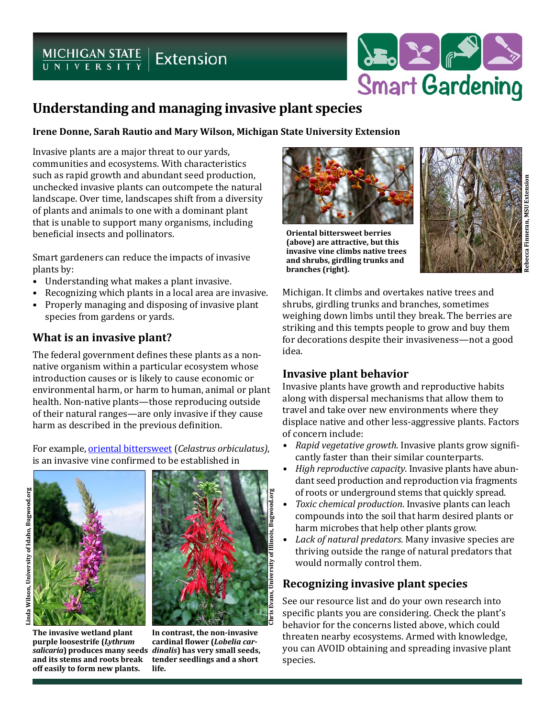# $MICHIGAN STATEUNIVE R SETY SETX$



#### **Irene Donne, Sarah Rautio and Mary Wilson, Michigan State University Extension**

Invasive plants are a major threat to our yards, communities and ecosystems. With characteristics such as rapid growth and abundant seed production, unchecked invasive plants can outcompete the natural landscape. Over time, landscapes shift from a diversity of plants and animals to one with a dominant plant that is unable to support many organisms, including beneficial insects and pollinators.

Smart gardeners can reduce the impacts of invasive plants by:

- Understanding what makes a plant invasive.
- Recognizing which plants in a local area are invasive.
- Properly managing and disposing of invasive plant species from gardens or yards.

# **What is an invasive plant?**

The federal government defines these plants as a nonnative organism within a particular ecosystem whose introduction causes or is likely to cause economic or environmental harm, or harm to human, animal or plant health. Non-native plants—those reproducing outside of their natural ranges—are only invasive if they cause harm as described in the previous definition.

For example, [oriental bittersweet](http://www.michigan.gov/invasives/0,5664,7-324-68002_71240_73852-379484--,00.html) (*Celastrus orbiculatus)*, is an invasive vine confirmed to be established in





**The invasive wetland plant purple loosestrife (***Lythrum salicaria***) produces many seeds**  *dinalis***) has very small seeds, and its stems and roots break off easily to form new plants.**

Chris Evans, University of Illinois, Bugwood.org **Chris Evans, University of Illinois, Bugwood.org**

**In contrast, the non-invasive cardinal flower (***Lobelia car***tender seedlings and a short life.**



**Oriental bittersweet berries (above) are attractive, but this invasive vine climbs native trees and shrubs, girdling trunks and branches (right).**



Michigan. It climbs and overtakes native trees and shrubs, girdling trunks and branches, sometimes weighing down limbs until they break. The berries are striking and this tempts people to grow and buy them for decorations despite their invasiveness—not a good idea.

# **Invasive plant behavior**

Invasive plants have growth and reproductive habits along with dispersal mechanisms that allow them to travel and take over new environments where they displace native and other less-aggressive plants. Factors of concern include:

- *• Rapid vegetative growth*. Invasive plants grow significantly faster than their similar counterparts.
- *• High reproductive capacity*. Invasive plants have abundant seed production and reproduction via fragments of roots or underground stems that quickly spread.
- *• Toxic chemical production*. Invasive plants can leach compounds into the soil that harm desired plants or harm microbes that help other plants grow.
- *• Lack of natural predators*. Many invasive species are thriving outside the range of natural predators that would normally control them.

# **Recognizing invasive plant species**

See our resource list and do your own research into specific plants you are considering. Check the plant's behavior for the concerns listed above, which could threaten nearby ecosystems. Armed with knowledge, you can AVOID obtaining and spreading invasive plant species.